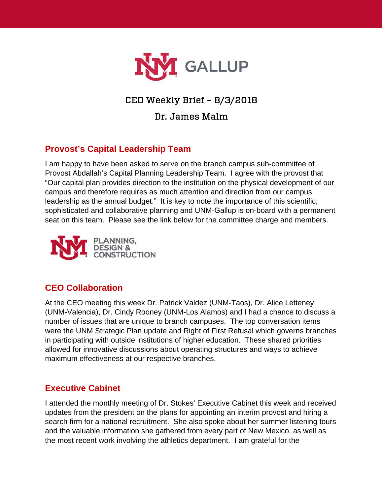

# CEO Weekly Brief – 8/3/2018

# Dr. James Malm

# **Provost's Capital Leadership Team**

I am happy to have been asked to serve on the branch campus sub-committee of Provost Abdallah's Capital Planning Leadership Team. I agree with the provost that "Our capital plan provides direction to the institution on the physical development of our campus and therefore requires as much attention and direction from our campus leadership as the annual budget." It is key to note the importance of this scientific, sophisticated and collaborative planning and UNM-Gallup is on-board with a permanent seat on this team. Please see the link below for the committee charge and members.



## **CEO Collaboration**

At the CEO meeting this week Dr. Patrick Valdez (UNM-Taos), Dr. Alice Letteney (UNM-Valencia), Dr. Cindy Rooney (UNM-Los Alamos) and I had a chance to discuss a number of issues that are unique to branch campuses. The top conversation items were the UNM Strategic Plan update and Right of First Refusal which governs branches in participating with outside institutions of higher education. These shared priorities allowed for innovative discussions about operating structures and ways to achieve maximum effectiveness at our respective branches.

### **Executive Cabinet**

I attended the monthly meeting of Dr. Stokes' Executive Cabinet this week and received updates from the president on the plans for appointing an interim provost and hiring a search firm for a national recruitment. She also spoke about her summer listening tours and the valuable information she gathered from every part of New Mexico, as well as the most recent work involving the athletics department. I am grateful for the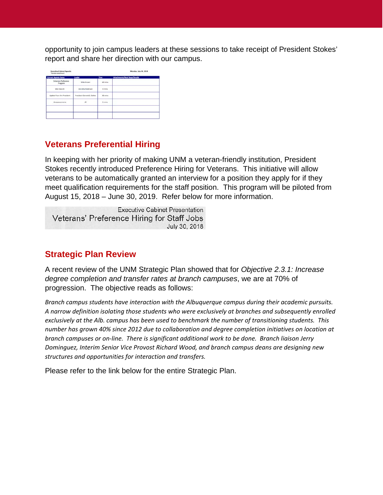opportunity to join campus leaders at these sessions to take receipt of President Stokes' report and share her direction with our campus.

| <b>Current Agenda Items</b>    | Leader                      | Time    | <b>Attachments/Next Steps/Details</b> |
|--------------------------------|-----------------------------|---------|---------------------------------------|
| Veterans Preference<br>Program | Mãe Brown                   | 10 mins |                                       |
| <b>OUC Search</b>              | Dorothy Anderson            | 5 mins  |                                       |
| Update from the President      | President Garnett S. Stokes | 30 mins |                                       |
| Announcements                  | All                         | 5 mins  |                                       |
|                                |                             |         |                                       |

#### **Veterans Preferential Hiring**

In keeping with her priority of making UNM a veteran-friendly institution, President Stokes recently introduced Preference Hiring for Veterans. This initiative will allow veterans to be automatically granted an interview for a position they apply for if they meet qualification requirements for the staff position. This program will be piloted from August 15, 2018 – June 30, 2019. Refer below for more information.

**Executive Cabinet Presentation** Veterans' Preference Hiring for Staff Jobs July 30, 2018

#### **Strategic Plan Review**

A recent review of the UNM Strategic Plan showed that for *Objective 2.3.1: Increase degree completion and transfer rates at branch campuses*, we are at 70% of progression. The objective reads as follows:

*Branch campus students have interaction with the Albuquerque campus during their academic pursuits. A narrow definition isolating those students who were exclusively at branches and subsequently enrolled exclusively at the Alb. campus has been used to benchmark the number of transitioning students. This number has grown 40% since 2012 due to collaboration and degree completion initiatives on location at branch campuses or on-line. There is significant additional work to be done. Branch liaison Jerry Dominguez, Interim Senior Vice Provost Richard Wood, and branch campus deans are designing new structures and opportunities for interaction and transfers.*

Please refer to the link below for the entire Strategic Plan.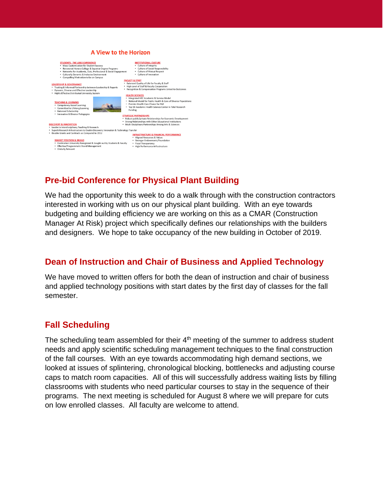

# **Pre-bid Conference for Physical Plant Building**

We had the opportunity this week to do a walk through with the construction contractors interested in working with us on our physical plant building. With an eye towards budgeting and building efficiency we are working on this as a CMAR (Construction Manager At Risk) project which specifically defines our relationships with the builders and designers. We hope to take occupancy of the new building in October of 2019.

## **Dean of Instruction and Chair of Business and Applied Technology**

We have moved to written offers for both the dean of instruction and chair of business and applied technology positions with start dates by the first day of classes for the fall semester.

## **Fall Scheduling**

The scheduling team assembled for their 4<sup>th</sup> meeting of the summer to address student needs and apply scientific scheduling management techniques to the final construction of the fall courses. With an eye towards accommodating high demand sections, we looked at issues of splintering, chronological blocking, bottlenecks and adjusting course caps to match room capacities. All of this will successfully address waiting lists by filling classrooms with students who need particular courses to stay in the sequence of their programs. The next meeting is scheduled for August 8 where we will prepare for cuts on low enrolled classes. All faculty are welcome to attend.